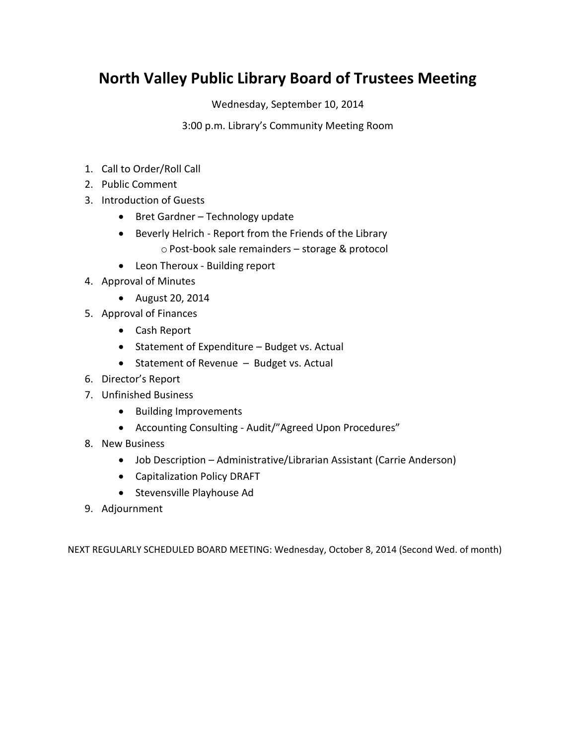# **North Valley Public Library Board of Trustees Meeting**

Wednesday, September 10, 2014

3:00 p.m. Library's Community Meeting Room

- 1. Call to Order/Roll Call
- 2. Public Comment
- 3. Introduction of Guests
	- Bret Gardner Technology update
	- Beverly Helrich Report from the Friends of the Library o Post-book sale remainders – storage & protocol
	- Leon Theroux Building report
- 4. Approval of Minutes
	- August 20, 2014
- 5. Approval of Finances
	- Cash Report
	- Statement of Expenditure Budget vs. Actual
	- Statement of Revenue Budget vs. Actual
- 6. Director's Report
- 7. Unfinished Business
	- Building Improvements
	- Accounting Consulting Audit/"Agreed Upon Procedures"
- 8. New Business
	- Job Description Administrative/Librarian Assistant (Carrie Anderson)
	- Capitalization Policy DRAFT
	- Stevensville Playhouse Ad
- 9. Adjournment

NEXT REGULARLY SCHEDULED BOARD MEETING: Wednesday, October 8, 2014 (Second Wed. of month)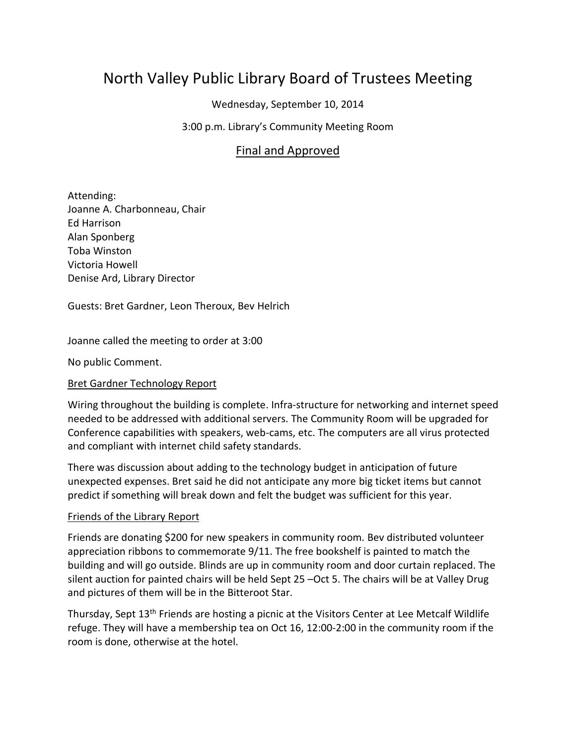# North Valley Public Library Board of Trustees Meeting

Wednesday, September 10, 2014

### 3:00 p.m. Library's Community Meeting Room

## Final and Approved

Attending: Joanne A. Charbonneau, Chair Ed Harrison Alan Sponberg Toba Winston Victoria Howell Denise Ard, Library Director

Guests: Bret Gardner, Leon Theroux, Bev Helrich

Joanne called the meeting to order at 3:00

No public Comment.

#### Bret Gardner Technology Report

Wiring throughout the building is complete. Infra-structure for networking and internet speed needed to be addressed with additional servers. The Community Room will be upgraded for Conference capabilities with speakers, web-cams, etc. The computers are all virus protected and compliant with internet child safety standards.

There was discussion about adding to the technology budget in anticipation of future unexpected expenses. Bret said he did not anticipate any more big ticket items but cannot predict if something will break down and felt the budget was sufficient for this year.

#### Friends of the Library Report

Friends are donating \$200 for new speakers in community room. Bev distributed volunteer appreciation ribbons to commemorate 9/11. The free bookshelf is painted to match the building and will go outside. Blinds are up in community room and door curtain replaced. The silent auction for painted chairs will be held Sept 25 –Oct 5. The chairs will be at Valley Drug and pictures of them will be in the Bitteroot Star.

Thursday, Sept 13<sup>th</sup> Friends are hosting a picnic at the Visitors Center at Lee Metcalf Wildlife refuge. They will have a membership tea on Oct 16, 12:00-2:00 in the community room if the room is done, otherwise at the hotel.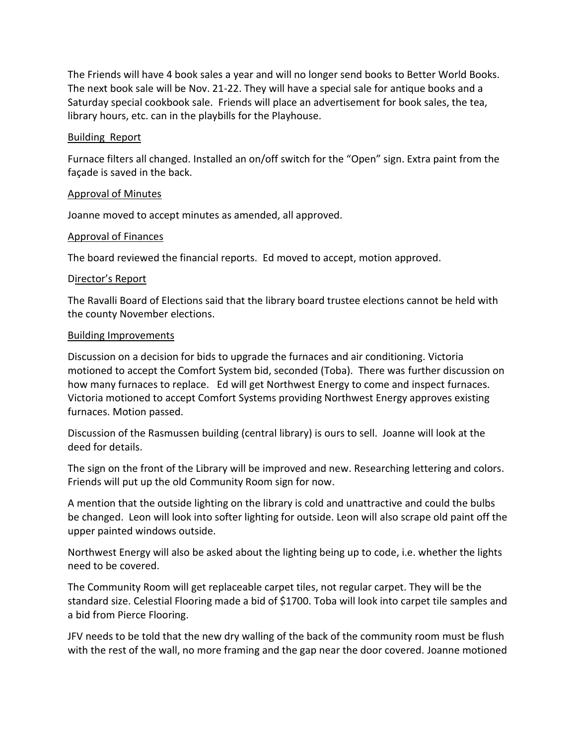The Friends will have 4 book sales a year and will no longer send books to Better World Books. The next book sale will be Nov. 21-22. They will have a special sale for antique books and a Saturday special cookbook sale. Friends will place an advertisement for book sales, the tea, library hours, etc. can in the playbills for the Playhouse.

#### Building Report

Furnace filters all changed. Installed an on/off switch for the "Open" sign. Extra paint from the façade is saved in the back.

#### Approval of Minutes

Joanne moved to accept minutes as amended, all approved.

### Approval of Finances

The board reviewed the financial reports. Ed moved to accept, motion approved.

#### Director's Report

The Ravalli Board of Elections said that the library board trustee elections cannot be held with the county November elections.

#### Building Improvements

Discussion on a decision for bids to upgrade the furnaces and air conditioning. Victoria motioned to accept the Comfort System bid, seconded (Toba). There was further discussion on how many furnaces to replace. Ed will get Northwest Energy to come and inspect furnaces. Victoria motioned to accept Comfort Systems providing Northwest Energy approves existing furnaces. Motion passed.

Discussion of the Rasmussen building (central library) is ours to sell. Joanne will look at the deed for details.

The sign on the front of the Library will be improved and new. Researching lettering and colors. Friends will put up the old Community Room sign for now.

A mention that the outside lighting on the library is cold and unattractive and could the bulbs be changed. Leon will look into softer lighting for outside. Leon will also scrape old paint off the upper painted windows outside.

Northwest Energy will also be asked about the lighting being up to code, i.e. whether the lights need to be covered.

The Community Room will get replaceable carpet tiles, not regular carpet. They will be the standard size. Celestial Flooring made a bid of \$1700. Toba will look into carpet tile samples and a bid from Pierce Flooring.

JFV needs to be told that the new dry walling of the back of the community room must be flush with the rest of the wall, no more framing and the gap near the door covered. Joanne motioned